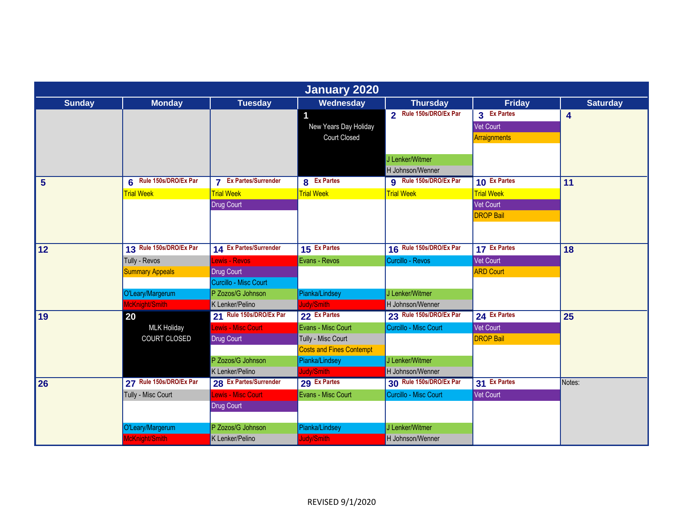| <b>January 2020</b> |                         |                              |                                 |                               |                   |                 |  |  |
|---------------------|-------------------------|------------------------------|---------------------------------|-------------------------------|-------------------|-----------------|--|--|
| <b>Sunday</b>       | <b>Monday</b>           | <b>Tuesday</b>               | Wednesday                       | <b>Thursday</b>               | <b>Friday</b>     | <b>Saturday</b> |  |  |
|                     |                         |                              | 1                               | 2 Rule 150s/DRO/Ex Par        | 3 Ex Partes       | 4               |  |  |
|                     |                         |                              | New Years Day Holiday           |                               | Vet Court         |                 |  |  |
|                     |                         |                              | <b>Court Closed</b>             |                               | Arraignments      |                 |  |  |
|                     |                         |                              |                                 |                               |                   |                 |  |  |
|                     |                         |                              |                                 | J Lenker/Witmer               |                   |                 |  |  |
|                     |                         |                              |                                 | H Johnson/Wenner              |                   |                 |  |  |
| $5\phantom{1}$      | 6 Rule 150s/DRO/Ex Par  | <b>7</b> Ex Partes/Surrender | 8 Ex Partes                     | <b>g</b> Rule 150s/DRO/Ex Par | 10 Ex Partes      | 11              |  |  |
|                     | <b>Trial Week</b>       | <b>Trial Week</b>            | <b>Trial Week</b>               | <b>Trial Week</b>             | <b>Trial Week</b> |                 |  |  |
|                     |                         | <b>Drug Court</b>            |                                 |                               | Vet Court         |                 |  |  |
|                     |                         |                              |                                 |                               | <b>DROP Bail</b>  |                 |  |  |
|                     |                         |                              |                                 |                               |                   |                 |  |  |
|                     |                         |                              |                                 |                               |                   |                 |  |  |
| 12                  | 13 Rule 150s/DRO/Ex Par | 14 Ex Partes/Surrender       | 15 Ex Partes                    | 16 Rule 150s/DRO/Ex Par       | 17 Ex Partes      | 18              |  |  |
|                     | Tully - Revos           | ewis - Revos                 | Evans - Revos                   | Curcillo - Revos              | <b>Vet Court</b>  |                 |  |  |
|                     | <b>Summary Appeals</b>  | Drug Court                   |                                 |                               | <b>ARD Court</b>  |                 |  |  |
|                     |                         | Curcillo - Misc Court        |                                 |                               |                   |                 |  |  |
|                     | O'Leary/Margerum        | P Zozos/G Johnson            | Pianka/Lindsey                  | J Lenker/Witmer               |                   |                 |  |  |
|                     | McKnight/Smith          | K Lenker/Pelino              | ludy/Smith                      | H Johnson/Wenner              |                   |                 |  |  |
| 19                  | 20                      | 21 Rule 150s/DRO/Ex Par      | 22 Ex Partes                    | 23 Rule 150s/DRO/Ex Par       | 24 Ex Partes      | 25              |  |  |
|                     | <b>MLK Holiday</b>      | <b>Lewis - Misc Court</b>    | Evans - Misc Court              | Curcillo - Misc Court         | <b>Vet Court</b>  |                 |  |  |
|                     | COURT CLOSED            | <b>Drug Court</b>            | Tully - Misc Court              |                               | <b>DROP Bail</b>  |                 |  |  |
|                     |                         |                              | <b>Costs and Fines Contempt</b> |                               |                   |                 |  |  |
|                     |                         | P Zozos/G Johnson            | Pianka/Lindsey                  | J Lenker/Witmer               |                   |                 |  |  |
|                     |                         | K Lenker/Pelino              | Judy/Smith                      | H Johnson/Wenner              |                   |                 |  |  |
| 26                  | 27 Rule 150s/DRO/Ex Par | 28 Ex Partes/Surrender       | 29 Ex Partes                    | 30 Rule 150s/DRO/Ex Par       | 31 Ex Partes      | Notes:          |  |  |
|                     | Tully - Misc Court      | Lewis - Misc Court           | Evans - Misc Court              | Curcillo - Misc Court         | <b>Vet Court</b>  |                 |  |  |
|                     |                         | Drug Court                   |                                 |                               |                   |                 |  |  |
|                     |                         |                              |                                 |                               |                   |                 |  |  |
|                     | O'Leary/Margerum        | P Zozos/G Johnson            | Pianka/Lindsey                  | J Lenker/Witmer               |                   |                 |  |  |
|                     | McKnight/Smith          | K Lenker/Pelino              | Judy/Smith                      | H Johnson/Wenner              |                   |                 |  |  |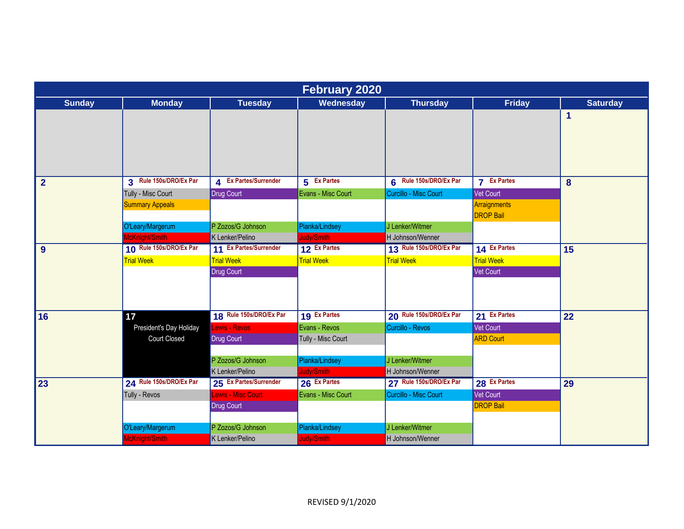| <b>February 2020</b> |                         |                         |                    |                         |                                  |                 |  |  |
|----------------------|-------------------------|-------------------------|--------------------|-------------------------|----------------------------------|-----------------|--|--|
| <b>Sunday</b>        | <b>Monday</b>           | <b>Tuesday</b>          | Wednesday          | <b>Thursday</b>         | Friday                           | <b>Saturday</b> |  |  |
|                      |                         |                         |                    |                         |                                  | 1               |  |  |
| $\overline{2}$       | 3 Rule 150s/DRO/Ex Par  | 4 Ex Partes/Surrender   | 5 Ex Partes        | 6 Rule 150s/DRO/Ex Par  | <b>7</b> Ex Partes               | 8               |  |  |
|                      | Tully - Misc Court      | Drug Court              | Evans - Misc Court | Curcillo - Misc Court   | Vet Court                        |                 |  |  |
|                      | <b>Summary Appeals</b>  |                         |                    |                         | Arraignments<br><b>DROP Bail</b> |                 |  |  |
|                      | O'Leary/Margerum        | P Zozos/G Johnson       | Pianka/Lindsey     | J Lenker/Witmer         |                                  |                 |  |  |
|                      | McKnight/Smith          | K Lenker/Pelino         | ludy/Smith         | H Johnson/Wenner        |                                  |                 |  |  |
| 9                    | 10 Rule 150s/DRO/Ex Par | 11 Ex Partes/Surrender  | 12 Ex Partes       | 13 Rule 150s/DRO/Ex Par | 14 Ex Partes                     | 15              |  |  |
|                      | <b>Trial Week</b>       | <b>Trial Week</b>       | <b>Trial Week</b>  | <b>Trial Week</b>       | <b>Trial Week</b>                |                 |  |  |
|                      |                         | <b>Drug Court</b>       |                    |                         | <b>Vet Court</b>                 |                 |  |  |
| 16                   | 17                      | 18 Rule 150s/DRO/Ex Par | 19 Ex Partes       | 20 Rule 150s/DRO/Ex Par | 21 Ex Partes                     | 22              |  |  |
|                      | President's Day Holiday | Lewis - Revos           | Evans - Revos      | Curcillo - Revos        | Vet Court                        |                 |  |  |
|                      | Court Closed            | <b>Drug Court</b>       | Tully - Misc Court |                         | <b>ARD Court</b>                 |                 |  |  |
|                      |                         | P Zozos/G Johnson       | Pianka/Lindsey     | J Lenker/Witmer         |                                  |                 |  |  |
|                      |                         | K Lenker/Pelino         | ludy/Smith         | H Johnson/Wenner        |                                  |                 |  |  |
| 23                   | 24 Rule 150s/DRO/Ex Par | 25 Ex Partes/Surrender  | 26 Ex Partes       | 27 Rule 150s/DRO/Ex Par | 28 Ex Partes                     | 29              |  |  |
|                      | Tully - Revos           | Lewis - Misc Court      | Evans - Misc Court | Curcillo - Misc Court   | Vet Court                        |                 |  |  |
|                      |                         | <b>Drug Court</b>       |                    |                         | <b>DROP Bail</b>                 |                 |  |  |
|                      | O'Leary/Margerum        | P Zozos/G Johnson       | Pianka/Lindsey     | J Lenker/Witmer         |                                  |                 |  |  |
|                      | McKnight/Smith          | K Lenker/Pelino         | Judy/Smith         | H Johnson/Wenner        |                                  |                 |  |  |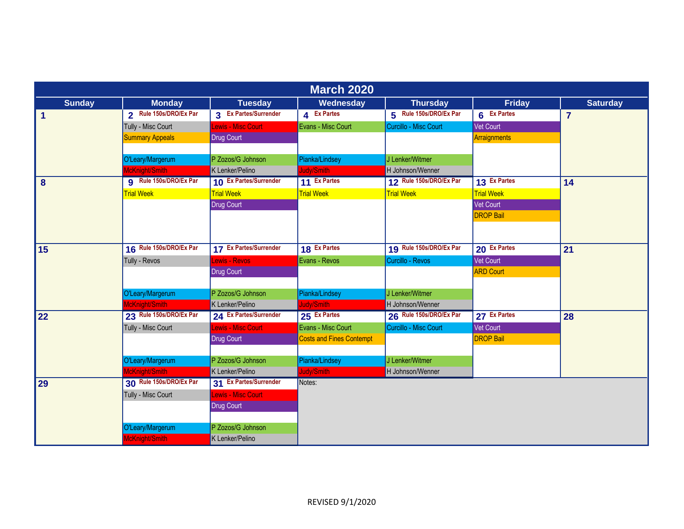| <b>March 2020</b>    |                               |                        |                                 |                         |                     |                 |  |  |
|----------------------|-------------------------------|------------------------|---------------------------------|-------------------------|---------------------|-----------------|--|--|
| <b>Sunday</b>        | <b>Monday</b>                 | <b>Tuesday</b>         | Wednesday                       | <b>Thursday</b>         | <b>Friday</b>       | <b>Saturday</b> |  |  |
| $\blacktriangleleft$ | 2 Rule 150s/DRO/Ex Par        | 3 Ex Partes/Surrender  | 4 Ex Partes                     | 5 Rule 150s/DRO/Ex Par  | 6 Ex Partes         | $\overline{7}$  |  |  |
|                      | Tully - Misc Court            | Lewis - Misc Court     | Evans - Misc Court              | Curcillo - Misc Court   | Vet Court           |                 |  |  |
|                      | <b>Summary Appeals</b>        | Drug Court             |                                 |                         | <b>Arraignments</b> |                 |  |  |
|                      |                               |                        |                                 |                         |                     |                 |  |  |
|                      | O'Leary/Margerum              | P Zozos/G Johnson      | Pianka/Lindsey                  | J Lenker/Witmer         |                     |                 |  |  |
|                      | McKnight/Smith                | K Lenker/Pelino        | Judy/Smith                      | H Johnson/Wenner        |                     |                 |  |  |
| 8                    | <b>g</b> Rule 150s/DRO/Ex Par | 10 Ex Partes/Surrender | 11 Ex Partes                    | 12 Rule 150s/DRO/Ex Par | 13 Ex Partes        | 14              |  |  |
|                      | <b>Trial Week</b>             | <b>Trial Week</b>      | <b>Trial Week</b>               | <b>Trial Week</b>       | <b>Trial Week</b>   |                 |  |  |
|                      |                               | <b>Drug Court</b>      |                                 |                         | Vet Court           |                 |  |  |
|                      |                               |                        |                                 |                         | <b>DROP Bail</b>    |                 |  |  |
|                      |                               |                        |                                 |                         |                     |                 |  |  |
|                      |                               |                        |                                 |                         |                     |                 |  |  |
| 15                   | 16 Rule 150s/DRO/Ex Par       | 17 Ex Partes/Surrender | 18 Ex Partes                    | 19 Rule 150s/DRO/Ex Par | 20 Ex Partes        | 21              |  |  |
|                      | Tully - Revos                 | <b>Lewis - Revos</b>   | Evans - Revos                   | Curcillo - Revos        | <b>Vet Court</b>    |                 |  |  |
|                      |                               | <b>Drug Court</b>      |                                 |                         | <b>ARD Court</b>    |                 |  |  |
|                      |                               |                        |                                 |                         |                     |                 |  |  |
|                      | O'Leary/Margerum              | P Zozos/G Johnson      | Pianka/Lindsey                  | J Lenker/Witmer         |                     |                 |  |  |
|                      | McKnight/Smith                | K Lenker/Pelino        | Judy/Smith                      | H Johnson/Wenner        |                     |                 |  |  |
| 22                   | 23 Rule 150s/DRO/Ex Par       | 24 Ex Partes/Surrender | 25 Ex Partes                    | 26 Rule 150s/DRO/Ex Par | 27 Ex Partes        | 28              |  |  |
|                      | Tully - Misc Court            | Lewis - Misc Court     | Evans - Misc Court              | Curcillo - Misc Court   | Vet Court           |                 |  |  |
|                      |                               | <b>Drug Court</b>      | <b>Costs and Fines Contempt</b> |                         | <b>DROP Bail</b>    |                 |  |  |
|                      |                               |                        |                                 |                         |                     |                 |  |  |
|                      | O'Leary/Margerum              | P Zozos/G Johnson      | Pianka/Lindsey                  | J Lenker/Witmer         |                     |                 |  |  |
|                      | McKnight/Smith                | K Lenker/Pelino        | Judy/Smith                      | H Johnson/Wenner        |                     |                 |  |  |
| 29                   | 30 Rule 150s/DRO/Ex Par       | 31 Ex Partes/Surrender | Notes:                          |                         |                     |                 |  |  |
|                      | Tully - Misc Court            | Lewis - Misc Court     |                                 |                         |                     |                 |  |  |
|                      |                               | <b>Drug Court</b>      |                                 |                         |                     |                 |  |  |
|                      |                               |                        |                                 |                         |                     |                 |  |  |
|                      | O'Leary/Margerum              | P Zozos/G Johnson      |                                 |                         |                     |                 |  |  |
|                      | McKnight/Smith                | K Lenker/Pelino        |                                 |                         |                     |                 |  |  |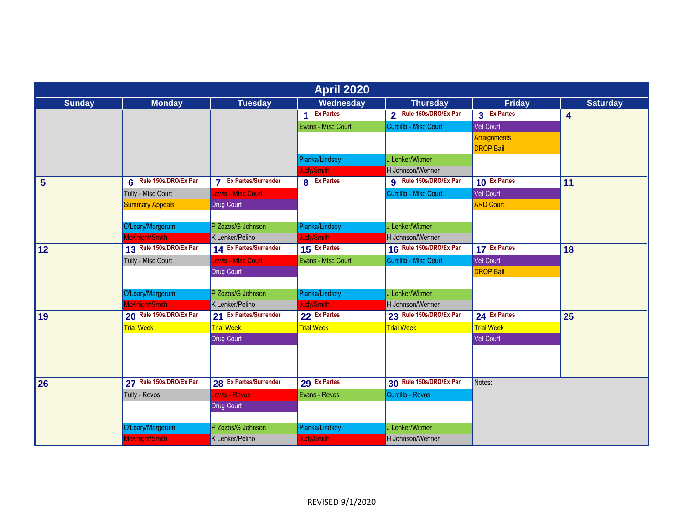|                |                         |                                                       | <b>April 2020</b>  |                         |                                  |                 |
|----------------|-------------------------|-------------------------------------------------------|--------------------|-------------------------|----------------------------------|-----------------|
| <b>Sunday</b>  | <b>Monday</b>           | <b>Tuesday</b>                                        | Wednesday          | <b>Thursday</b>         | <b>Friday</b>                    | <b>Saturday</b> |
|                |                         |                                                       | 1 Ex Partes        | 2 Rule 150s/DRO/Ex Par  | 3 Ex Partes                      | 4               |
|                |                         |                                                       | Evans - Misc Court | Curcillo - Misc Court   | Vet Court                        |                 |
|                |                         |                                                       |                    |                         | Arraignments<br><b>DROP Bail</b> |                 |
|                |                         |                                                       | Pianka/Lindsey     | J Lenker/Witmer         |                                  |                 |
|                |                         |                                                       | Judy/Smith         | H Johnson/Wenner        |                                  |                 |
| $5\phantom{1}$ | 6 Rule 150s/DRO/Ex Par  | <b>Ex Partes/Surrender</b><br>$\overline{\mathbf{z}}$ | 8 Ex Partes        | 9 Rule 150s/DRO/Ex Par  | 10 Ex Partes                     | 11              |
|                | Tully - Misc Court      | Lewis - Misc Court                                    |                    | Curcillo - Misc Court   | Vet Court                        |                 |
|                | <b>Summary Appeals</b>  | <b>Drug Court</b>                                     |                    |                         | <b>ARD Court</b>                 |                 |
|                |                         |                                                       |                    |                         |                                  |                 |
|                | O'Leary/Margerum        | P Zozos/G Johnson                                     | Pianka/Lindsey     | J Lenker/Witmer         |                                  |                 |
|                | McKnight/Smith          | K Lenker/Pelino                                       | Judy/Smith         | H Johnson/Wenner        |                                  |                 |
| 12             | 13 Rule 150s/DRO/Ex Par | 14 Ex Partes/Surrender                                | 15 Ex Partes       | 16 Rule 150s/DRO/Ex Par | 17 Ex Partes                     | 18              |
|                | Tully - Misc Court      | Lewis - Misc Court                                    | Evans - Misc Court | Curcillo - Misc Court   | <b>Vet Court</b>                 |                 |
|                |                         | Drug Court                                            |                    |                         | <b>DROP Bail</b>                 |                 |
|                |                         |                                                       |                    |                         |                                  |                 |
|                | O'Leary/Margerum        | P Zozos/G Johnson                                     | Pianka/Lindsey     | J Lenker/Witmer         |                                  |                 |
|                | McKnight/Smith          | K Lenker/Pelino                                       | ludy/Smith         | H Johnson/Wenner        |                                  |                 |
| 19             | 20 Rule 150s/DRO/Ex Par | 21 Ex Partes/Surrender                                | 22 Ex Partes       | 23 Rule 150s/DRO/Ex Par | 24 Ex Partes                     | 25              |
|                | <b>Trial Week</b>       | <b>Trial Week</b>                                     | <b>Trial Week</b>  | <b>Trial Week</b>       | <b>Trial Week</b>                |                 |
|                |                         | Drug Court                                            |                    |                         | <b>Vet Court</b>                 |                 |
|                |                         |                                                       |                    |                         |                                  |                 |
|                |                         |                                                       |                    |                         |                                  |                 |
| 26             | 27 Rule 150s/DRO/Ex Par | 28 Ex Partes/Surrender                                | 29 Ex Partes       | 30 Rule 150s/DRO/Ex Par | Notes:                           |                 |
|                | Tully - Revos           | Lewis - Revos                                         | Evans - Revos      | Curcillo - Revos        |                                  |                 |
|                |                         | <b>Drug Court</b>                                     |                    |                         |                                  |                 |
|                | O'Leary/Margerum        | P Zozos/G Johnson                                     | Pianka/Lindsey     | J Lenker/Witmer         |                                  |                 |
|                | McKnight/Smith          | K Lenker/Pelino                                       | Judy/Smith         | H Johnson/Wenner        |                                  |                 |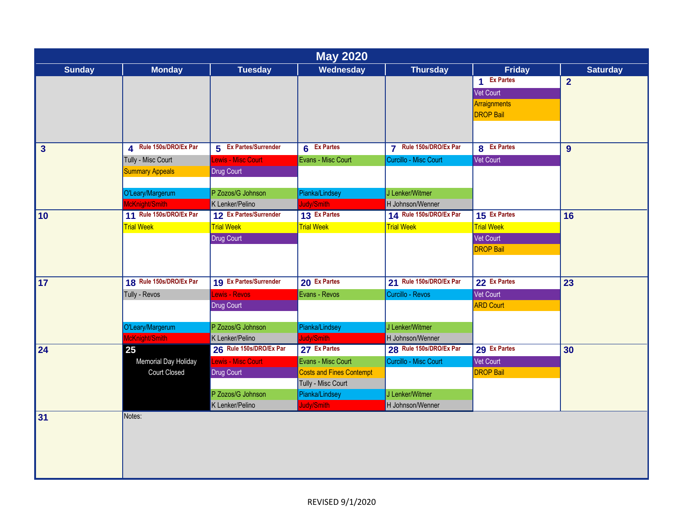|               |                         |                         | <b>May 2020</b>                 |                         |                   |                 |
|---------------|-------------------------|-------------------------|---------------------------------|-------------------------|-------------------|-----------------|
| <b>Sunday</b> | <b>Monday</b>           | <b>Tuesday</b>          | Wednesday                       | <b>Thursday</b>         | <b>Friday</b>     | <b>Saturday</b> |
|               |                         |                         |                                 |                         | 1 Ex Partes       | $\overline{2}$  |
|               |                         |                         |                                 |                         | Vet Court         |                 |
|               |                         |                         |                                 |                         | Arraignments      |                 |
|               |                         |                         |                                 |                         | <b>DROP Bail</b>  |                 |
|               |                         |                         |                                 |                         |                   |                 |
|               |                         |                         |                                 |                         |                   |                 |
| 3             | 4 Rule 150s/DRO/Ex Par  | 5 Ex Partes/Surrender   | 6 Ex Partes                     | 7 Rule 150s/DRO/Ex Par  | 8 Ex Partes       | 9               |
|               | Tully - Misc Court      | Lewis - Misc Court      | Evans - Misc Court              | Curcillo - Misc Court   | Vet Court         |                 |
|               | <b>Summary Appeals</b>  | Drug Court              |                                 |                         |                   |                 |
|               |                         |                         |                                 |                         |                   |                 |
|               | O'Leary/Margerum        | P Zozos/G Johnson       | Pianka/Lindsey                  | J Lenker/Witmer         |                   |                 |
|               | McKnight/Smith          | K Lenker/Pelino         | Judy/Smith                      | H Johnson/Wenner        |                   |                 |
| 10            | 11 Rule 150s/DRO/Ex Par | 12 Ex Partes/Surrender  | 13 Ex Partes                    | 14 Rule 150s/DRO/Ex Par | 15 Ex Partes      | 16              |
|               | <b>Trial Week</b>       | <b>Trial Week</b>       | <b>Trial Week</b>               | <b>Trial Week</b>       | <b>Trial Week</b> |                 |
|               |                         | Drug Court              |                                 |                         | Vet Court         |                 |
|               |                         |                         |                                 |                         | <b>DROP Bail</b>  |                 |
|               |                         |                         |                                 |                         |                   |                 |
|               |                         |                         |                                 |                         |                   |                 |
| 17            | 18 Rule 150s/DRO/Ex Par | 19 Ex Partes/Surrender  | 20 Ex Partes                    | 21 Rule 150s/DRO/Ex Par | 22 Ex Partes      | $\overline{23}$ |
|               | Tully - Revos           | Lewis - Revos           | Evans - Revos                   | Curcillo - Revos        | Vet Court         |                 |
|               |                         | Drug Court              |                                 |                         | <b>ARD Court</b>  |                 |
|               |                         |                         |                                 |                         |                   |                 |
|               | O'Leary/Margerum        | P Zozos/G Johnson       | Pianka/Lindsey                  | J Lenker/Witmer         |                   |                 |
|               | McKnight/Smith          | K Lenker/Pelino         | Judy/Smith                      | H Johnson/Wenner        |                   |                 |
| 24            | 25                      | 26 Rule 150s/DRO/Ex Par | 27 Ex Partes                    | 28 Rule 150s/DRO/Ex Par | 29 Ex Partes      | 30              |
|               | Memorial Day Holiday    | Lewis - Misc Court      | Evans - Misc Court              | Curcillo - Misc Court   | Vet Court         |                 |
|               | <b>Court Closed</b>     | Drug Court              | <b>Costs and Fines Contempt</b> |                         | <b>DROP Bail</b>  |                 |
|               |                         |                         | Tully - Misc Court              |                         |                   |                 |
|               |                         | P Zozos/G Johnson       | Pianka/Lindsey                  | J Lenker/Witmer         |                   |                 |
|               |                         | K Lenker/Pelino         | Judy/Smith                      | H Johnson/Wenner        |                   |                 |
| 31            | Notes:                  |                         |                                 |                         |                   |                 |
|               |                         |                         |                                 |                         |                   |                 |
|               |                         |                         |                                 |                         |                   |                 |
|               |                         |                         |                                 |                         |                   |                 |
|               |                         |                         |                                 |                         |                   |                 |
|               |                         |                         |                                 |                         |                   |                 |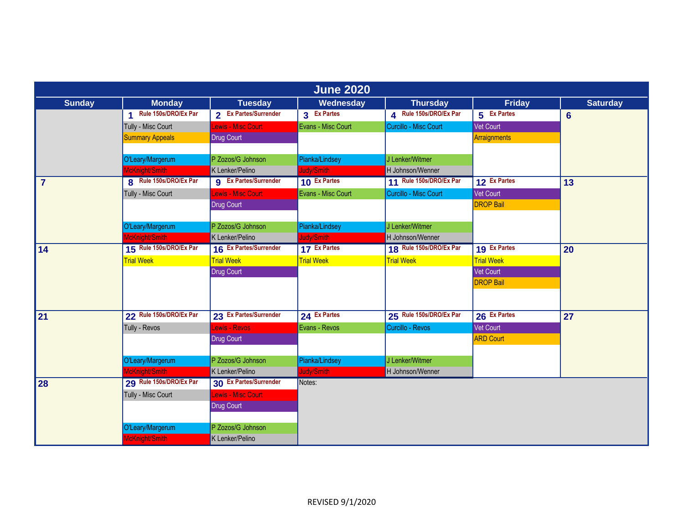| <b>June 2020</b> |                                    |                              |                    |                         |                   |                 |  |  |
|------------------|------------------------------------|------------------------------|--------------------|-------------------------|-------------------|-----------------|--|--|
| <b>Sunday</b>    | <b>Monday</b>                      | <b>Tuesday</b>               | Wednesday          | <b>Thursday</b>         | <b>Friday</b>     | <b>Saturday</b> |  |  |
|                  | 1 Rule 150s/DRO/Ex Par             | 2 Ex Partes/Surrender        | 3 Ex Partes        | 4 Rule 150s/DRO/Ex Par  | 5 Ex Partes       | $6\phantom{a}$  |  |  |
|                  | Tully - Misc Court                 | Lewis - Misc Court           | Evans - Misc Court | Curcillo - Misc Court   | Vet Court         |                 |  |  |
|                  | <b>Summary Appeals</b>             | Drug Court                   |                    |                         | Arraignments      |                 |  |  |
|                  |                                    |                              |                    |                         |                   |                 |  |  |
|                  | O'Leary/Margerum                   | P Zozos/G Johnson            | Pianka/Lindsey     | J Lenker/Witmer         |                   |                 |  |  |
|                  | McKnight/Smith                     | K Lenker/Pelino              | Judy/Smith         | H Johnson/Wenner        |                   |                 |  |  |
| $\overline{7}$   | 8 Rule 150s/DRO/Ex Par             | <b>g</b> Ex Partes/Surrender | 10 Ex Partes       | 11 Rule 150s/DRO/Ex Par | 12 Ex Partes      | 13              |  |  |
|                  | Tully - Misc Court                 | Lewis - Misc Court           | Evans - Misc Court | Curcillo - Misc Court   | Vet Court         |                 |  |  |
|                  |                                    | <b>Drug Court</b>            |                    |                         | <b>DROP Bail</b>  |                 |  |  |
|                  |                                    |                              |                    |                         |                   |                 |  |  |
|                  | O'Leary/Margerum                   | P Zozos/G Johnson            | Pianka/Lindsey     | J Lenker/Witmer         |                   |                 |  |  |
|                  | McKnight/Smith                     | K Lenker/Pelino              | Judy/Smith         | H Johnson/Wenner        |                   |                 |  |  |
| 14               | 15 Rule 150s/DRO/Ex Par            | 16 Ex Partes/Surrender       | 17 Ex Partes       | 18 Rule 150s/DRO/Ex Par | 19 Ex Partes      | 20              |  |  |
|                  | <b>Trial Week</b>                  | <b>Trial Week</b>            | <b>Trial Week</b>  | <b>Trial Week</b>       | <b>Trial Week</b> |                 |  |  |
|                  |                                    | <b>Drug Court</b>            |                    |                         | <b>Vet Court</b>  |                 |  |  |
|                  |                                    |                              |                    |                         | <b>DROP Bail</b>  |                 |  |  |
|                  |                                    |                              |                    |                         |                   |                 |  |  |
|                  | 22 Rule 150s/DRO/Ex Par            | 23 Ex Partes/Surrender       | 24 Ex Partes       | 25 Rule 150s/DRO/Ex Par | 26 Ex Partes      |                 |  |  |
| 21               |                                    |                              |                    |                         |                   | 27              |  |  |
|                  | Tully - Revos                      | Lewis - Revos                | Evans - Revos      | Curcillo - Revos        | <b>Vet Court</b>  |                 |  |  |
|                  |                                    | <b>Drug Court</b>            |                    |                         | <b>ARD</b> Court  |                 |  |  |
|                  |                                    | P Zozos/G Johnson            | Pianka/Lindsey     | J Lenker/Witmer         |                   |                 |  |  |
|                  | O'Leary/Margerum<br>McKnight/Smith | K Lenker/Pelino              | Judy/Smith         | H Johnson/Wenner        |                   |                 |  |  |
| 28               | 29 Rule 150s/DRO/Ex Par            | 30 Ex Partes/Surrender       | Notes:             |                         |                   |                 |  |  |
|                  | Tully - Misc Court                 | Lewis - Misc Court           |                    |                         |                   |                 |  |  |
|                  |                                    |                              |                    |                         |                   |                 |  |  |
|                  |                                    | Drug Court                   |                    |                         |                   |                 |  |  |
|                  | O'Leary/Margerum                   | P Zozos/G Johnson            |                    |                         |                   |                 |  |  |
|                  | McKnight/Smith                     | K Lenker/Pelino              |                    |                         |                   |                 |  |  |
|                  |                                    |                              |                    |                         |                   |                 |  |  |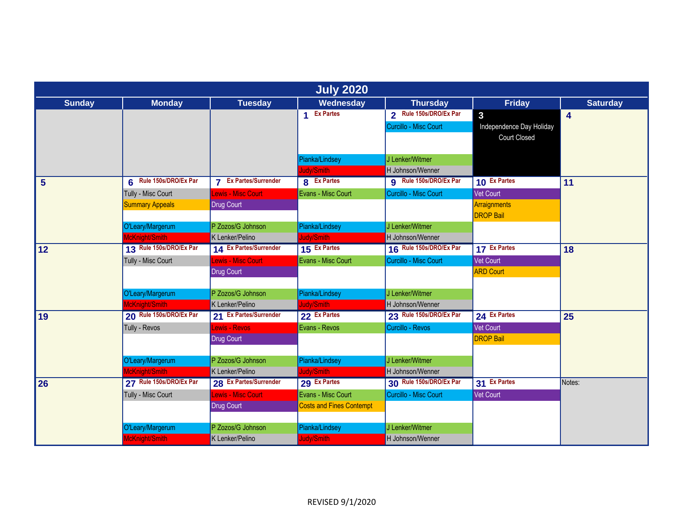| <b>July 2020</b> |                         |                                                       |                                 |                         |                          |                 |  |  |
|------------------|-------------------------|-------------------------------------------------------|---------------------------------|-------------------------|--------------------------|-----------------|--|--|
| <b>Sunday</b>    | <b>Monday</b>           | <b>Tuesday</b>                                        | Wednesday                       | <b>Thursday</b>         | <b>Friday</b>            | <b>Saturday</b> |  |  |
|                  |                         |                                                       | 1 Ex Partes                     | 2 Rule 150s/DRO/Ex Par  | $\overline{3}$           | 4               |  |  |
|                  |                         |                                                       |                                 | Curcillo - Misc Court   | Independence Day Holiday |                 |  |  |
|                  |                         |                                                       |                                 |                         | <b>Court Closed</b>      |                 |  |  |
|                  |                         |                                                       |                                 |                         |                          |                 |  |  |
|                  |                         |                                                       | Pianka/Lindsey                  | J Lenker/Witmer         |                          |                 |  |  |
|                  |                         |                                                       | Judy/Smith                      | H Johnson/Wenner        |                          |                 |  |  |
| $5\phantom{1}$   | 6 Rule 150s/DRO/Ex Par  | <b>Ex Partes/Surrender</b><br>$\overline{\mathbf{z}}$ | <b>8</b> Ex Partes              | g Rule 150s/DRO/Ex Par  | 10 Ex Partes             | 11              |  |  |
|                  | Tully - Misc Court      | Lewis - Misc Court                                    | Evans - Misc Court              | Curcillo - Misc Court   | Vet Court                |                 |  |  |
|                  | <b>Summary Appeals</b>  | <b>Drug Court</b>                                     |                                 |                         | Arraignments             |                 |  |  |
|                  |                         |                                                       |                                 |                         | <b>DROP Bail</b>         |                 |  |  |
|                  | O'Leary/Margerum        | P Zozos/G Johnson                                     | Pianka/Lindsey                  | J Lenker/Witmer         |                          |                 |  |  |
|                  | McKnight/Smith          | K Lenker/Pelino                                       | Judy/Smith                      | H Johnson/Wenner        |                          |                 |  |  |
| 12               | 13 Rule 150s/DRO/Ex Par | 14 Ex Partes/Surrender                                | 15 Ex Partes                    | 16 Rule 150s/DRO/Ex Par | 17 Ex Partes             | 18              |  |  |
|                  | Tully - Misc Court      | Lewis - Misc Court                                    | Evans - Misc Court              | Curcillo - Misc Court   | <b>Vet Court</b>         |                 |  |  |
|                  |                         | Drug Court                                            |                                 |                         | <b>ARD Court</b>         |                 |  |  |
|                  |                         |                                                       |                                 |                         |                          |                 |  |  |
|                  | O'Leary/Margerum        | P Zozos/G Johnson                                     | Pianka/Lindsey                  | J Lenker/Witmer         |                          |                 |  |  |
|                  | McKnight/Smith          | K Lenker/Pelino                                       | Judy/Smith                      | H Johnson/Wenner        |                          |                 |  |  |
| 19               | 20 Rule 150s/DRO/Ex Par | 21 Ex Partes/Surrender                                | 22 Ex Partes                    | 23 Rule 150s/DRO/Ex Par | 24 Ex Partes             | 25              |  |  |
|                  | Tully - Revos           | Lewis - Revos                                         | Evans - Revos                   | Curcillo - Revos        | <b>Vet Court</b>         |                 |  |  |
|                  |                         | <b>Drug Court</b>                                     |                                 |                         | <b>DROP Bail</b>         |                 |  |  |
|                  |                         |                                                       |                                 |                         |                          |                 |  |  |
|                  | O'Leary/Margerum        | P Zozos/G Johnson                                     | Pianka/Lindsey                  | J Lenker/Witmer         |                          |                 |  |  |
|                  | McKnight/Smith          | K Lenker/Pelino                                       | Judy/Smith                      | H Johnson/Wenner        |                          |                 |  |  |
| 26               | 27 Rule 150s/DRO/Ex Par | 28 Ex Partes/Surrender                                | 29 Ex Partes                    | 30 Rule 150s/DRO/Ex Par | 31 Ex Partes             | Notes:          |  |  |
|                  | Tully - Misc Court      | Lewis - Misc Court                                    | Evans - Misc Court              | Curcillo - Misc Court   | <b>Vet Court</b>         |                 |  |  |
|                  |                         | <b>Drug Court</b>                                     | <b>Costs and Fines Contempt</b> |                         |                          |                 |  |  |
|                  |                         |                                                       |                                 |                         |                          |                 |  |  |
|                  | O'Leary/Margerum        | P Zozos/G Johnson                                     | Pianka/Lindsey                  | J Lenker/Witmer         |                          |                 |  |  |
|                  | McKnight/Smith          | K Lenker/Pelino                                       | Judy/Smith                      | H Johnson/Wenner        |                          |                 |  |  |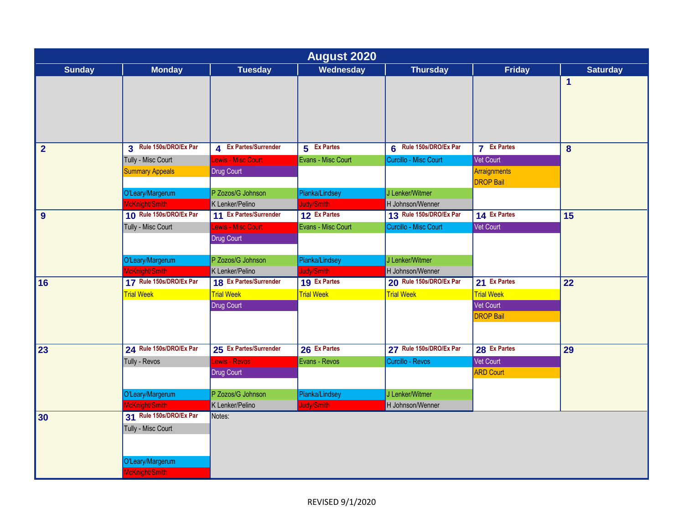| <b>August 2020</b> |                         |                        |                    |                         |                                  |                 |  |  |
|--------------------|-------------------------|------------------------|--------------------|-------------------------|----------------------------------|-----------------|--|--|
| <b>Sunday</b>      | <b>Monday</b>           | <b>Tuesday</b>         | Wednesday          | <b>Thursday</b>         | <b>Friday</b>                    | <b>Saturday</b> |  |  |
|                    |                         |                        |                    |                         |                                  | $\mathbf{1}$    |  |  |
| $\overline{2}$     | 3 Rule 150s/DRO/Ex Par  | 4 Ex Partes/Surrender  | 5 Ex Partes        | 6 Rule 150s/DRO/Ex Par  | <b>7</b> Ex Partes               | 8               |  |  |
|                    | Tully - Misc Court      | Lewis - Misc Court     | Evans - Misc Court | Curcillo - Misc Court   | <b>Vet Court</b>                 |                 |  |  |
|                    | <b>Summary Appeals</b>  | Drug Court             |                    |                         | Arraignments<br><b>DROP Bail</b> |                 |  |  |
|                    | O'Leary/Margerum        | P Zozos/G Johnson      | Pianka/Lindsey     | J Lenker/Witmer         |                                  |                 |  |  |
|                    | McKnight/Smith          | K Lenker/Pelino        | Judy/Smith         | H Johnson/Wenner        |                                  |                 |  |  |
| 9                  | 10 Rule 150s/DRO/Ex Par | 11 Ex Partes/Surrender | 12 Ex Partes       | 13 Rule 150s/DRO/Ex Par | 14 Ex Partes                     | 15              |  |  |
|                    | Tully - Misc Court      | Lewis - Misc Court     | Evans - Misc Court | Curcillo - Misc Court   | Vet Court                        |                 |  |  |
|                    |                         | Drug Court             |                    |                         |                                  |                 |  |  |
|                    | O'Leary/Margerum        | P Zozos/G Johnson      | Pianka/Lindsey     | J Lenker/Witmer         |                                  |                 |  |  |
|                    | McKnight/Smith          | K Lenker/Pelino        | Judy/Smith         | H Johnson/Wenner        |                                  |                 |  |  |
| 16                 | 17 Rule 150s/DRO/Ex Par | 18 Ex Partes/Surrender | 19 Ex Partes       | 20 Rule 150s/DRO/Ex Par | 21 Ex Partes                     | 22              |  |  |
|                    | <b>Trial Week</b>       | <b>Trial Week</b>      | <b>Trial Week</b>  | <b>Trial Week</b>       | <b>Trial Week</b>                |                 |  |  |
|                    |                         | Drug Court             |                    |                         | Vet Court                        |                 |  |  |
|                    |                         |                        |                    |                         | <b>DROP Bail</b>                 |                 |  |  |
| 23                 | 24 Rule 150s/DRO/Ex Par | 25 Ex Partes/Surrender | 26 Ex Partes       | 27 Rule 150s/DRO/Ex Par | 28 Ex Partes                     | 29              |  |  |
|                    | Tully - Revos           | ewis - Revos           | Evans - Revos      | Curcillo - Revos        | <b>Vet Court</b>                 |                 |  |  |
|                    |                         | Drug Court             |                    |                         | <b>ARD Court</b>                 |                 |  |  |
|                    | O'Leary/Margerum        | P Zozos/G Johnson      | Pianka/Lindsey     | J Lenker/Witmer         |                                  |                 |  |  |
|                    | McKnight/Smith          | K Lenker/Pelino        | Judy/Smith         | H Johnson/Wenner        |                                  |                 |  |  |
| 30                 | 31 Rule 150s/DRO/Ex Par | Notes:                 |                    |                         |                                  |                 |  |  |
|                    | Tully - Misc Court      |                        |                    |                         |                                  |                 |  |  |
|                    | O'Leary/Margerum        |                        |                    |                         |                                  |                 |  |  |
|                    | McKnight/Smith          |                        |                    |                         |                                  |                 |  |  |
|                    |                         |                        |                    |                         |                                  |                 |  |  |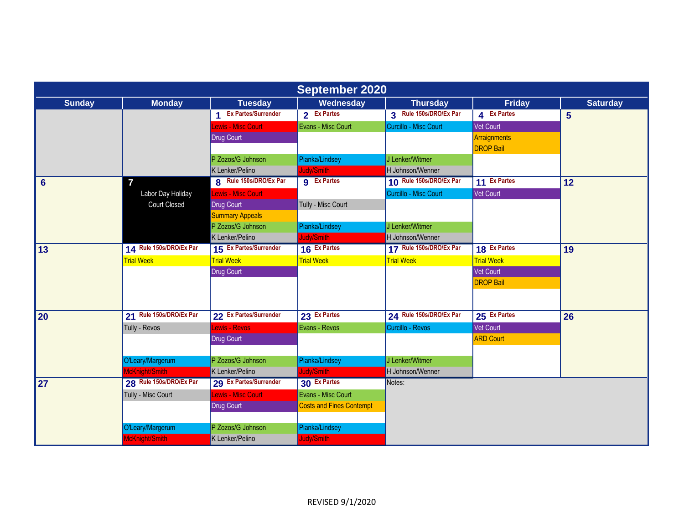| <b>September 2020</b> |                         |                        |                                 |                         |                   |                 |  |  |
|-----------------------|-------------------------|------------------------|---------------------------------|-------------------------|-------------------|-----------------|--|--|
| <b>Sunday</b>         | <b>Monday</b>           | <b>Tuesday</b>         | Wednesday                       | <b>Thursday</b>         | <b>Friday</b>     | <b>Saturday</b> |  |  |
|                       |                         | 1 Ex Partes/Surrender  | 2 Ex Partes                     | 3 Rule 150s/DRO/Ex Par  | 4 Ex Partes       | 5               |  |  |
|                       |                         | Lewis - Misc Court     | Evans - Misc Court              | Curcillo - Misc Court   | Vet Court         |                 |  |  |
|                       |                         | Drug Court             |                                 |                         | Arraignments      |                 |  |  |
|                       |                         |                        |                                 |                         | <b>DROP Bail</b>  |                 |  |  |
|                       |                         | P Zozos/G Johnson      | Pianka/Lindsey                  | J Lenker/Witmer         |                   |                 |  |  |
|                       |                         | K Lenker/Pelino        | Judy/Smith                      | H Johnson/Wenner        |                   |                 |  |  |
| $6\phantom{1}6$       | $\overline{7}$          | 8 Rule 150s/DRO/Ex Par | <b>g</b> Ex Partes              | 10 Rule 150s/DRO/Ex Par | 11 Ex Partes      | 12              |  |  |
|                       | Labor Day Holiday       | Lewis - Misc Court     |                                 | Curcillo - Misc Court   | <b>Vet Court</b>  |                 |  |  |
|                       | <b>Court Closed</b>     | Drug Court             | Tully - Misc Court              |                         |                   |                 |  |  |
|                       |                         | <b>Summary Appeals</b> |                                 |                         |                   |                 |  |  |
|                       |                         | P Zozos/G Johnson      | Pianka/Lindsey                  | J Lenker/Witmer         |                   |                 |  |  |
|                       |                         | K Lenker/Pelino        | Judy/Smith                      | H Johnson/Wenner        |                   |                 |  |  |
| 13                    | 14 Rule 150s/DRO/Ex Par | 15 Ex Partes/Surrender | 16 Ex Partes                    | 17 Rule 150s/DRO/Ex Par | 18 Ex Partes      | 19              |  |  |
|                       | <b>Trial Week</b>       | <b>Trial Week</b>      | <b>Trial Week</b>               | <b>Trial Week</b>       | <b>Trial Week</b> |                 |  |  |
|                       |                         | <b>Drug Court</b>      |                                 |                         | <b>Vet Court</b>  |                 |  |  |
|                       |                         |                        |                                 |                         | <b>DROP Bail</b>  |                 |  |  |
|                       |                         |                        |                                 |                         |                   |                 |  |  |
|                       |                         |                        |                                 |                         |                   |                 |  |  |
| 20                    | 21 Rule 150s/DRO/Ex Par | 22 Ex Partes/Surrender | 23 Ex Partes                    | 24 Rule 150s/DRO/Ex Par | 25 Ex Partes      | 26              |  |  |
|                       | Tully - Revos           | Lewis - Revos          | Evans - Revos                   | Curcillo - Revos        | Vet Court         |                 |  |  |
|                       |                         | <b>Drug Court</b>      |                                 |                         | <b>ARD Court</b>  |                 |  |  |
|                       |                         |                        |                                 |                         |                   |                 |  |  |
|                       | O'Leary/Margerum        | P Zozos/G Johnson      | Pianka/Lindsey                  | J Lenker/Witmer         |                   |                 |  |  |
|                       | McKnight/Smith          | K Lenker/Pelino        | ludy/Smith                      | H Johnson/Wenner        |                   |                 |  |  |
| 27                    | 28 Rule 150s/DRO/Ex Par | 29 Ex Partes/Surrender | 30 Ex Partes                    | Notes:                  |                   |                 |  |  |
|                       | Tully - Misc Court      | Lewis - Misc Court     | Evans - Misc Court              |                         |                   |                 |  |  |
|                       |                         | <b>Drug Court</b>      | <b>Costs and Fines Contempt</b> |                         |                   |                 |  |  |
|                       |                         |                        |                                 |                         |                   |                 |  |  |
|                       | O'Leary/Margerum        | P Zozos/G Johnson      | Pianka/Lindsey                  |                         |                   |                 |  |  |
|                       | McKnight/Smith          | K Lenker/Pelino        | Judy/Smith                      |                         |                   |                 |  |  |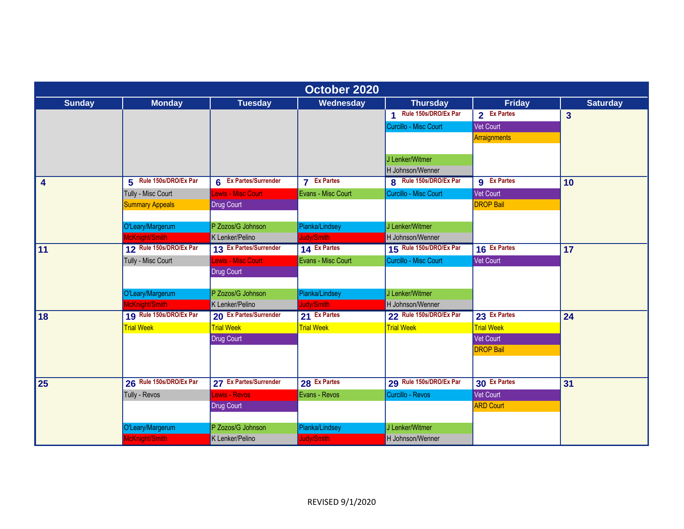| October 2020    |                         |                        |                    |                         |                    |                         |  |  |
|-----------------|-------------------------|------------------------|--------------------|-------------------------|--------------------|-------------------------|--|--|
| <b>Sunday</b>   | <b>Monday</b>           | <b>Tuesday</b>         | Wednesday          | <b>Thursday</b>         | <b>Friday</b>      | <b>Saturday</b>         |  |  |
|                 |                         |                        |                    | 1 Rule 150s/DRO/Ex Par  | 2 Ex Partes        | $\overline{\mathbf{3}}$ |  |  |
|                 |                         |                        |                    | Curcillo - Misc Court   | Vet Court          |                         |  |  |
|                 |                         |                        |                    |                         | Arraignments       |                         |  |  |
|                 |                         |                        |                    |                         |                    |                         |  |  |
|                 |                         |                        |                    | J Lenker/Witmer         |                    |                         |  |  |
|                 |                         |                        |                    | H Johnson/Wenner        |                    |                         |  |  |
| 4               | 5 Rule 150s/DRO/Ex Par  | 6 Ex Partes/Surrender  | <b>7</b> Ex Partes | 8 Rule 150s/DRO/Ex Par  | <b>g</b> Ex Partes | 10                      |  |  |
|                 | Tully - Misc Court      | Lewis - Misc Court     | Evans - Misc Court | Curcillo - Misc Court   | Vet Court          |                         |  |  |
|                 | <b>Summary Appeals</b>  | Drug Court             |                    |                         | <b>DROP Bail</b>   |                         |  |  |
|                 |                         |                        |                    |                         |                    |                         |  |  |
|                 | O'Leary/Margerum        | P Zozos/G Johnson      | Pianka/Lindsey     | J Lenker/Witmer         |                    |                         |  |  |
|                 | McKnight/Smith          | K Lenker/Pelino        | Judy/Smith         | H Johnson/Wenner        |                    |                         |  |  |
| $\overline{11}$ | 12 Rule 150s/DRO/Ex Par | 13 Ex Partes/Surrender | 14 Ex Partes       | 15 Rule 150s/DRO/Ex Par | 16 Ex Partes       | 17                      |  |  |
|                 | Tully - Misc Court      | Lewis - Misc Court     | Evans - Misc Court | Curcillo - Misc Court   | <b>Vet Court</b>   |                         |  |  |
|                 |                         | Drug Court             |                    |                         |                    |                         |  |  |
|                 |                         |                        |                    |                         |                    |                         |  |  |
|                 | O'Leary/Margerum        | P Zozos/G Johnson      | Pianka/Lindsey     | J Lenker/Witmer         |                    |                         |  |  |
|                 | McKnight/Smith          | K Lenker/Pelino        | ludy/Smith         | H Johnson/Wenner        |                    |                         |  |  |
| 18              | 19 Rule 150s/DRO/Ex Par | 20 Ex Partes/Surrender | 21 Ex Partes       | 22 Rule 150s/DRO/Ex Par | 23 Ex Partes       | 24                      |  |  |
|                 | <b>Trial Week</b>       | <b>Trial Week</b>      | <b>Trial Week</b>  | <b>Trial Week</b>       | <b>Trial Week</b>  |                         |  |  |
|                 |                         | <b>Drug Court</b>      |                    |                         | Vet Court          |                         |  |  |
|                 |                         |                        |                    |                         | <b>DROP Bail</b>   |                         |  |  |
|                 |                         |                        |                    |                         |                    |                         |  |  |
|                 |                         |                        |                    |                         |                    |                         |  |  |
| 25              | 26 Rule 150s/DRO/Ex Par | 27 Ex Partes/Surrender | 28 Ex Partes       | 29 Rule 150s/DRO/Ex Par | 30 Ex Partes       | 31                      |  |  |
|                 | Tully - Revos           | Lewis - Revos          | Evans - Revos      | Curcillo - Revos        | <b>Vet Court</b>   |                         |  |  |
|                 |                         | <b>Drug Court</b>      |                    |                         | <b>ARD Court</b>   |                         |  |  |
|                 |                         |                        |                    |                         |                    |                         |  |  |
|                 | O'Leary/Margerum        | P Zozos/G Johnson      | Pianka/Lindsey     | J Lenker/Witmer         |                    |                         |  |  |
|                 | McKnight/Smith          | K Lenker/Pelino        | Judy/Smith         | H Johnson/Wenner        |                    |                         |  |  |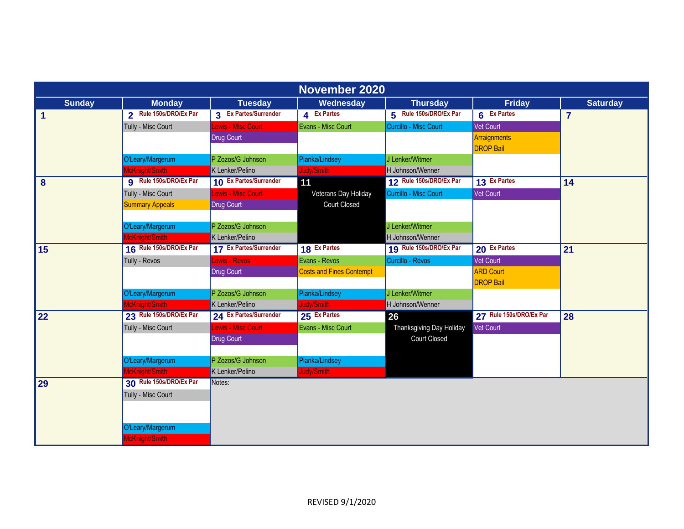| November 2020        |                               |                        |                                 |                          |                         |                 |  |  |
|----------------------|-------------------------------|------------------------|---------------------------------|--------------------------|-------------------------|-----------------|--|--|
| <b>Sunday</b>        | <b>Monday</b>                 | <b>Tuesday</b>         | Wednesday                       | <b>Thursday</b>          | <b>Friday</b>           | <b>Saturday</b> |  |  |
| $\blacktriangleleft$ | 2 Rule 150s/DRO/Ex Par        | 3 Ex Partes/Surrender  | 4 Ex Partes                     | 5 Rule 150s/DRO/Ex Par   | 6 Ex Partes             | $\overline{7}$  |  |  |
|                      | Tully - Misc Court            | Lewis - Misc Court     | Evans - Misc Court              | Curcillo - Misc Court    | Vet Court               |                 |  |  |
|                      |                               | <b>Drug Court</b>      |                                 |                          | Arraignments            |                 |  |  |
|                      |                               |                        |                                 |                          | <b>DROP Bail</b>        |                 |  |  |
|                      | O'Leary/Margerum              | P Zozos/G Johnson      | Pianka/Lindsey                  | J Lenker/Witmer          |                         |                 |  |  |
|                      | McKnight/Smith                | K Lenker/Pelino        | Judy/Smith                      | H Johnson/Wenner         |                         |                 |  |  |
| $\boldsymbol{8}$     | <b>g</b> Rule 150s/DRO/Ex Par | 10 Ex Partes/Surrender | 11                              | 12 Rule 150s/DRO/Ex Par  | 13 Ex Partes            | 14              |  |  |
|                      | Tully - Misc Court            | Lewis - Misc Court     | Veterans Day Holiday            | Curcillo - Misc Court    | <b>Vet Court</b>        |                 |  |  |
|                      | <b>Summary Appeals</b>        | Drug Court             | <b>Court Closed</b>             |                          |                         |                 |  |  |
|                      |                               |                        |                                 |                          |                         |                 |  |  |
|                      | O'Leary/Margerum              | P Zozos/G Johnson      |                                 | J Lenker/Witmer          |                         |                 |  |  |
|                      | McKnight/Smith                | K Lenker/Pelino        |                                 | H Johnson/Wenner         |                         |                 |  |  |
| 15                   | 16 Rule 150s/DRO/Ex Par       | 17 Ex Partes/Surrender | 18 Ex Partes                    | 19 Rule 150s/DRO/Ex Par  | 20 Ex Partes            | 21              |  |  |
|                      | Tully - Revos                 | <b>Lewis - Revos</b>   | Evans - Revos                   | Curcillo - Revos         | <b>Vet Court</b>        |                 |  |  |
|                      |                               | <b>Drug Court</b>      | <b>Costs and Fines Contempt</b> |                          | <b>ARD</b> Court        |                 |  |  |
|                      |                               |                        |                                 |                          | <b>DROP Bail</b>        |                 |  |  |
|                      | O'Leary/Margerum              | P Zozos/G Johnson      | Pianka/Lindsey                  | J Lenker/Witmer          |                         |                 |  |  |
|                      | McKnight/Smith                | K Lenker/Pelino        | Judy/Smith                      | H Johnson/Wenner         |                         |                 |  |  |
| 22                   | 23 Rule 150s/DRO/Ex Par       | 24 Ex Partes/Surrender | 25 Ex Partes                    | 26                       | 27 Rule 150s/DRO/Ex Par | 28              |  |  |
|                      | Tully - Misc Court            | Lewis - Misc Court     | Evans - Misc Court              | Thanksgiving Day Holiday | <b>Vet Court</b>        |                 |  |  |
|                      |                               | <b>Drug Court</b>      |                                 | <b>Court Closed</b>      |                         |                 |  |  |
|                      |                               |                        |                                 |                          |                         |                 |  |  |
|                      | O'Leary/Margerum              | P Zozos/G Johnson      | Pianka/Lindsey                  |                          |                         |                 |  |  |
|                      | McKnight/Smith                | K Lenker/Pelino        | Judy/Smith                      |                          |                         |                 |  |  |
| 29                   | 30 Rule 150s/DRO/Ex Par       | Notes:                 |                                 |                          |                         |                 |  |  |
|                      | Tully - Misc Court            |                        |                                 |                          |                         |                 |  |  |
|                      |                               |                        |                                 |                          |                         |                 |  |  |
|                      |                               |                        |                                 |                          |                         |                 |  |  |
|                      | O'Leary/Margerum              |                        |                                 |                          |                         |                 |  |  |
|                      | McKnight/Smith                |                        |                                 |                          |                         |                 |  |  |